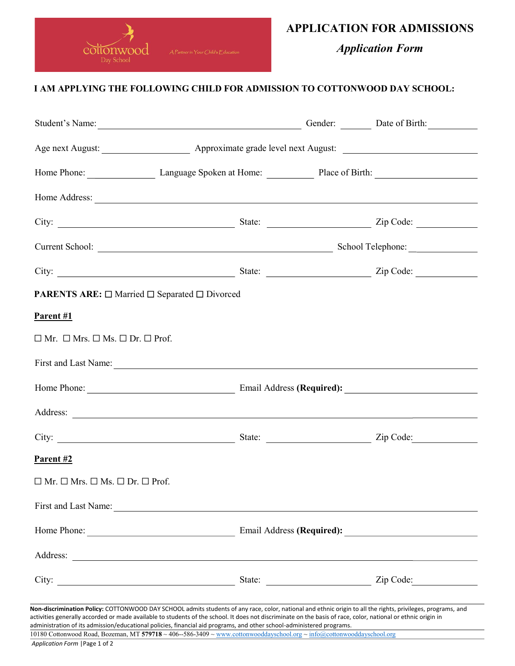

## APPLICATION FOR ADMISSIONS

Application Form

## I AM APPLYING THE FOLLOWING CHILD FOR ADMISSION TO COTTONWOOD DAY SCHOOL:

| Student's Name: Date of Birth: Date of Birth:                                                                                                                                                                                                                                                                                                                                                                    |  |  |
|------------------------------------------------------------------------------------------------------------------------------------------------------------------------------------------------------------------------------------------------------------------------------------------------------------------------------------------------------------------------------------------------------------------|--|--|
|                                                                                                                                                                                                                                                                                                                                                                                                                  |  |  |
| Home Phone: Language Spoken at Home: Place of Birth: 2008. [2016] Language Spoken at Home: Place of Birth:                                                                                                                                                                                                                                                                                                       |  |  |
| Home Address: <u>New York: New York: New York: New York: New York: New York: New York: New York: New York: New York: New York: New York: New York: New York: New York: New York: New York: New York: New York: New York: New Yor</u>                                                                                                                                                                             |  |  |
|                                                                                                                                                                                                                                                                                                                                                                                                                  |  |  |
|                                                                                                                                                                                                                                                                                                                                                                                                                  |  |  |
|                                                                                                                                                                                                                                                                                                                                                                                                                  |  |  |
| <b>PARENTS ARE:</b> $\Box$ Married $\Box$ Separated $\Box$ Divorced                                                                                                                                                                                                                                                                                                                                              |  |  |
| Parent #1                                                                                                                                                                                                                                                                                                                                                                                                        |  |  |
| $\Box$ Mr. $\Box$ Mrs. $\Box$ Ms. $\Box$ Dr. $\Box$ Prof.                                                                                                                                                                                                                                                                                                                                                        |  |  |
| First and Last Name: 1988. The Contract of the Contract of the Contract of the Contract of the Contract of the Contract of the Contract of the Contract of the Contract of the Contract of the Contract of the Contract of the                                                                                                                                                                                   |  |  |
| Home Phone: <u>Contract of Contract Contract Contract Contract Contract Contract Contract Contract Contract Contract Contract Contract Contract Contract Contract Contract Contract Contract Contract Contract Contract Contract</u>                                                                                                                                                                             |  |  |
| Address: <u>and a series of the contract of the contract of the contract of the contract of the contract of the contract of the contract of the contract of the contract of the contract of the contract of the contract of the </u>                                                                                                                                                                             |  |  |
|                                                                                                                                                                                                                                                                                                                                                                                                                  |  |  |
| Parent #2                                                                                                                                                                                                                                                                                                                                                                                                        |  |  |
| $\Box$ Mr. $\Box$ Mrs. $\Box$ Ms. $\Box$ Dr. $\Box$ Prof.                                                                                                                                                                                                                                                                                                                                                        |  |  |
|                                                                                                                                                                                                                                                                                                                                                                                                                  |  |  |
|                                                                                                                                                                                                                                                                                                                                                                                                                  |  |  |
|                                                                                                                                                                                                                                                                                                                                                                                                                  |  |  |
|                                                                                                                                                                                                                                                                                                                                                                                                                  |  |  |
| Non-discrimination Policy: COTTONWOOD DAY SCHOOL admits students of any race, color, national and ethnic origin to all the rights, privileges, programs, and                                                                                                                                                                                                                                                     |  |  |
| activities generally accorded or made available to students of the school. It does not discriminate on the basis of race, color, national or ethnic origin in<br>administration of its admission/educational policies, financial aid programs, and other school-administered programs.<br>10180 Cottonwood Road, Bozeman, MT 579718 ~ 406--586-3409 ~ www.cottonwooddayschool.org ~ info@cottonwooddayschool.org |  |  |

Application Form |Page 1 of 2